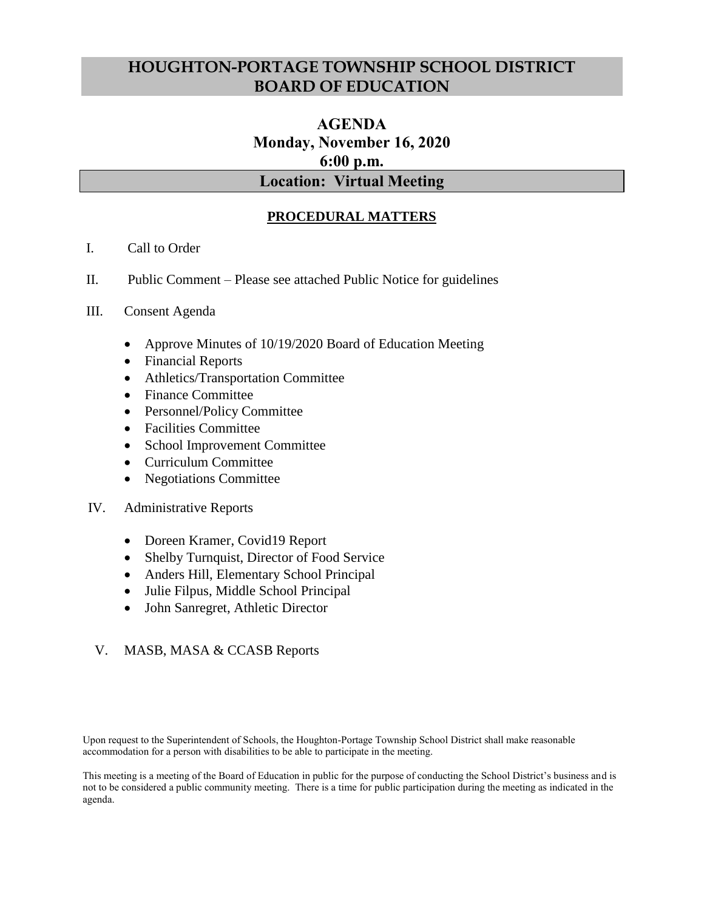# **HOUGHTON-PORTAGE TOWNSHIP SCHOOL DISTRICT BOARD OF EDUCATION**

# **AGENDA Monday, November 16, 2020 6:00 p.m. Location: Virtual Meeting**

# **PROCEDURAL MATTERS**

- I. Call to Order
- II. Public Comment Please see attached Public Notice for guidelines
- III. Consent Agenda
	- Approve Minutes of 10/19/2020 Board of Education Meeting
	- Financial Reports
	- Athletics/Transportation Committee
	- Finance Committee
	- Personnel/Policy Committee
	- Facilities Committee
	- School Improvement Committee
	- Curriculum Committee
	- Negotiations Committee
- IV. Administrative Reports
	- Doreen Kramer, Covid19 Report
	- Shelby Turnquist, Director of Food Service
	- Anders Hill, Elementary School Principal
	- Julie Filpus, Middle School Principal
	- John Sanregret, Athletic Director

### V. MASB, MASA & CCASB Reports

Upon request to the Superintendent of Schools, the Houghton-Portage Township School District shall make reasonable accommodation for a person with disabilities to be able to participate in the meeting.

This meeting is a meeting of the Board of Education in public for the purpose of conducting the School District's business and is not to be considered a public community meeting. There is a time for public participation during the meeting as indicated in the agenda.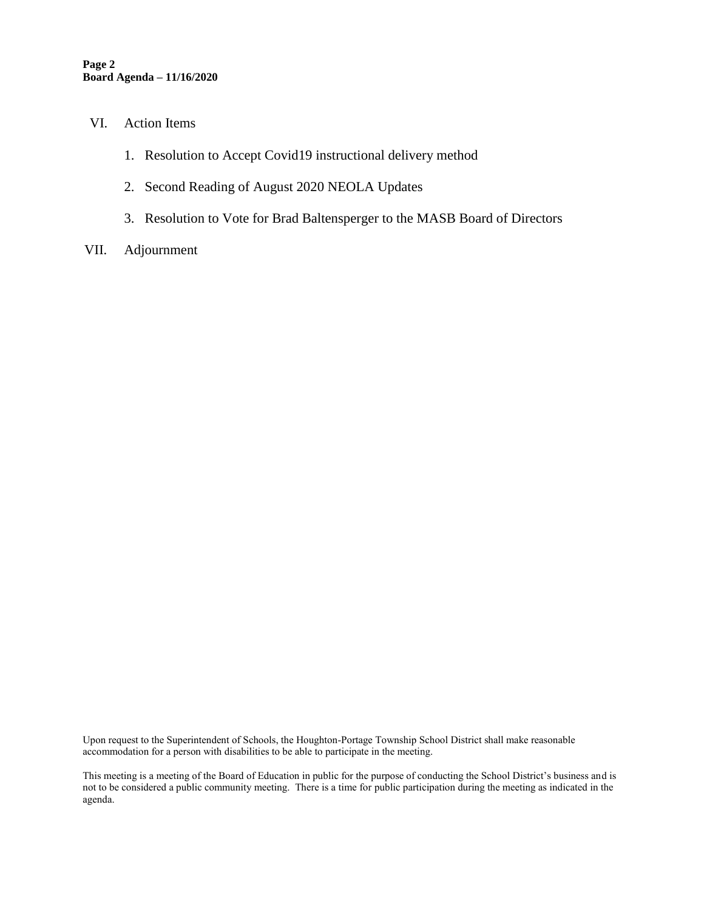- VI. Action Items
	- 1. Resolution to Accept Covid19 instructional delivery method
	- 2. Second Reading of August 2020 NEOLA Updates
	- 3. Resolution to Vote for Brad Baltensperger to the MASB Board of Directors
- VII. Adjournment

Upon request to the Superintendent of Schools, the Houghton-Portage Township School District shall make reasonable accommodation for a person with disabilities to be able to participate in the meeting.

This meeting is a meeting of the Board of Education in public for the purpose of conducting the School District's business and is not to be considered a public community meeting. There is a time for public participation during the meeting as indicated in the agenda.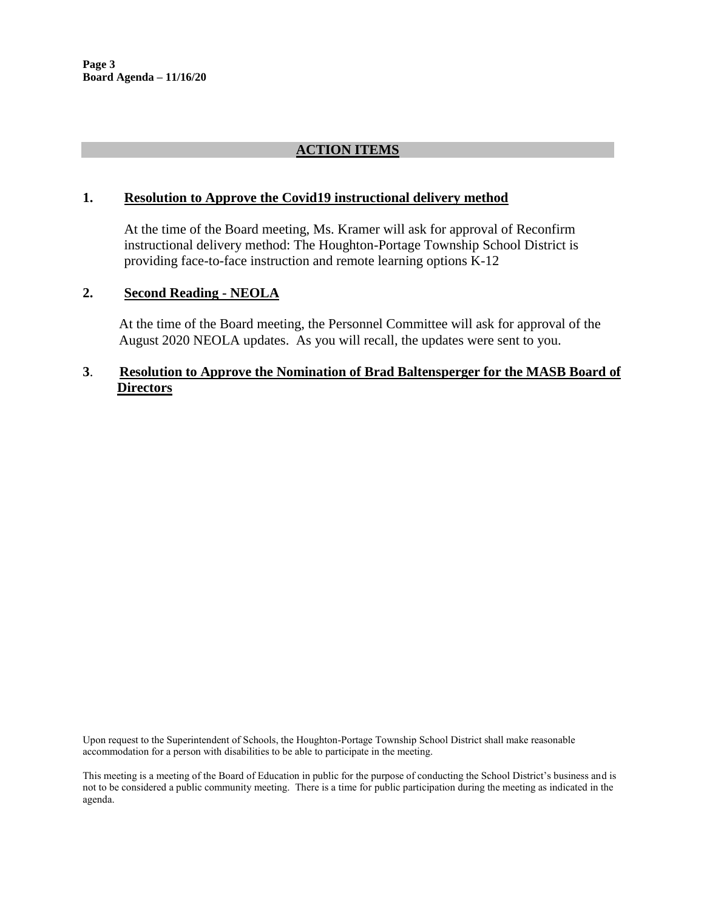## **ACTION ITEMS**

#### **1. Resolution to Approve the Covid19 instructional delivery method**

At the time of the Board meeting, Ms. Kramer will ask for approval of Reconfirm instructional delivery method: The Houghton-Portage Township School District is providing face-to-face instruction and remote learning options K-12

#### **2. Second Reading - NEOLA**

At the time of the Board meeting, the Personnel Committee will ask for approval of the August 2020 NEOLA updates. As you will recall, the updates were sent to you.

### **3**. **Resolution to Approve the Nomination of Brad Baltensperger for the MASB Board of Directors**

Upon request to the Superintendent of Schools, the Houghton-Portage Township School District shall make reasonable accommodation for a person with disabilities to be able to participate in the meeting.

#### This meeting is a meeting of the Board of Education in public for the purpose of conducting the School District's business and is not to be considered a public community meeting. There is a time for public participation during the meeting as indicated in the agenda.